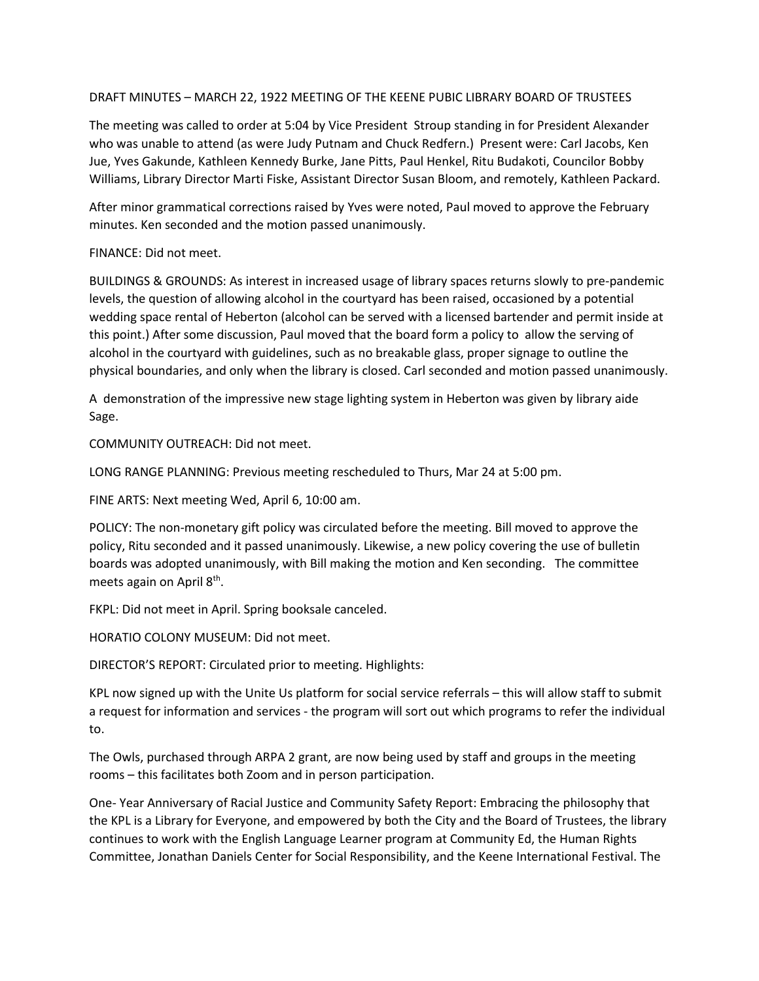## DRAFT MINUTES – MARCH 22, 1922 MEETING OF THE KEENE PUBIC LIBRARY BOARD OF TRUSTEES

The meeting was called to order at 5:04 by Vice President Stroup standing in for President Alexander who was unable to attend (as were Judy Putnam and Chuck Redfern.) Present were: Carl Jacobs, Ken Jue, Yves Gakunde, Kathleen Kennedy Burke, Jane Pitts, Paul Henkel, Ritu Budakoti, Councilor Bobby Williams, Library Director Marti Fiske, Assistant Director Susan Bloom, and remotely, Kathleen Packard.

After minor grammatical corrections raised by Yves were noted, Paul moved to approve the February minutes. Ken seconded and the motion passed unanimously.

## FINANCE: Did not meet.

BUILDINGS & GROUNDS: As interest in increased usage of library spaces returns slowly to pre-pandemic levels, the question of allowing alcohol in the courtyard has been raised, occasioned by a potential wedding space rental of Heberton (alcohol can be served with a licensed bartender and permit inside at this point.) After some discussion, Paul moved that the board form a policy to allow the serving of alcohol in the courtyard with guidelines, such as no breakable glass, proper signage to outline the physical boundaries, and only when the library is closed. Carl seconded and motion passed unanimously.

A demonstration of the impressive new stage lighting system in Heberton was given by library aide Sage.

COMMUNITY OUTREACH: Did not meet.

LONG RANGE PLANNING: Previous meeting rescheduled to Thurs, Mar 24 at 5:00 pm.

FINE ARTS: Next meeting Wed, April 6, 10:00 am.

POLICY: The non-monetary gift policy was circulated before the meeting. Bill moved to approve the policy, Ritu seconded and it passed unanimously. Likewise, a new policy covering the use of bulletin boards was adopted unanimously, with Bill making the motion and Ken seconding. The committee meets again on April 8<sup>th</sup>.

FKPL: Did not meet in April. Spring booksale canceled.

HORATIO COLONY MUSEUM: Did not meet.

DIRECTOR'S REPORT: Circulated prior to meeting. Highlights:

KPL now signed up with the Unite Us platform for social service referrals – this will allow staff to submit a request for information and services - the program will sort out which programs to refer the individual to.

The Owls, purchased through ARPA 2 grant, are now being used by staff and groups in the meeting rooms – this facilitates both Zoom and in person participation.

One- Year Anniversary of Racial Justice and Community Safety Report: Embracing the philosophy that the KPL is a Library for Everyone, and empowered by both the City and the Board of Trustees, the library continues to work with the English Language Learner program at Community Ed, the Human Rights Committee, Jonathan Daniels Center for Social Responsibility, and the Keene International Festival. The